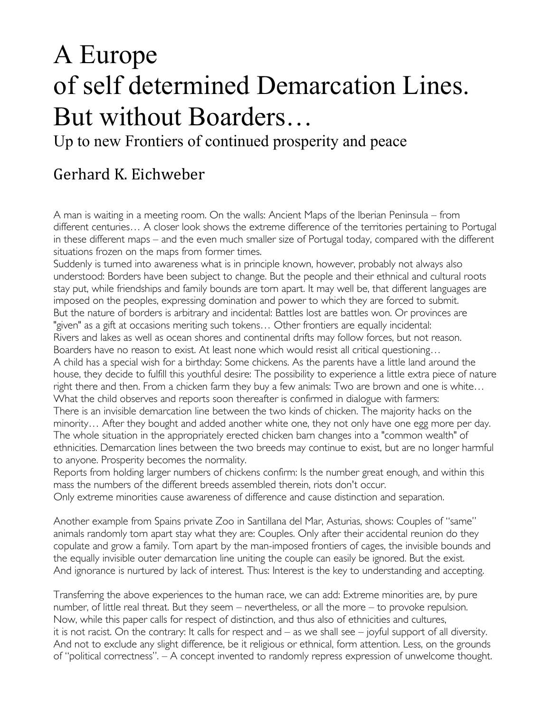## A Europe of self determined Demarcation Lines. But without Boarders…

Up to new Frontiers of continued prosperity and peace

## Gerhard K. Eichweber

A man is waiting in a meeting room. On the walls: Ancient Maps of the Iberian Peninsula – from different centuries… A closer look shows the extreme difference of the territories pertaining to Portugal in these different maps – and the even much smaller size of Portugal today, compared with the different situations frozen on the maps from former times.

Suddenly is turned into awareness what is in principle known, however, probably not always also understood: Borders have been subject to change. But the people and their ethnical and cultural roots stay put, while friendships and family bounds are torn apart. It may well be, that different languages are imposed on the peoples, expressing domination and power to which they are forced to submit. But the nature of borders is arbitrary and incidental: Battles lost are battles won. Or provinces are "given" as a gift at occasions meriting such tokens… Other frontiers are equally incidental: Rivers and lakes as well as ocean shores and continental drifts may follow forces, but not reason. Boarders have no reason to exist. At least none which would resist all critical questioning… A child has a special wish for a birthday: Some chickens. As the parents have a little land around the house, they decide to fulfill this youthful desire: The possibility to experience a little extra piece of nature right there and then. From a chicken farm they buy a few animals: Two are brown and one is white… What the child observes and reports soon thereafter is confirmed in dialogue with farmers: There is an invisible demarcation line between the two kinds of chicken. The majority hacks on the minority… After they bought and added another white one, they not only have one egg more per day. The whole situation in the appropriately erected chicken barn changes into a "common wealth" of ethnicities. Demarcation lines between the two breeds may continue to exist, but are no longer harmful to anyone. Prosperity becomes the normality.

Reports from holding larger numbers of chickens confirm: Is the number great enough, and within this mass the numbers of the different breeds assembled therein, riots don't occur.

Only extreme minorities cause awareness of difference and cause distinction and separation.

Another example from Spains private Zoo in Santillana del Mar, Asturias, shows: Couples of "same" animals randomly torn apart stay what they are: Couples. Only after their accidental reunion do they copulate and grow a family. Torn apart by the man-imposed frontiers of cages, the invisible bounds and the equally invisible outer demarcation line uniting the couple can easily be ignored. But the exist. And ignorance is nurtured by lack of interest. Thus: Interest is the key to understanding and accepting.

Transferring the above experiences to the human race, we can add: Extreme minorities are, by pure number, of little real threat. But they seem – nevertheless, or all the more – to provoke repulsion. Now, while this paper calls for respect of distinction, and thus also of ethnicities and cultures, it is not racist. On the contrary: It calls for respect and – as we shall see – joyful support of all diversity. And not to exclude any slight difference, be it religious or ethnical, form attention. Less, on the grounds of "political correctness". – A concept invented to randomly repress expression of unwelcome thought.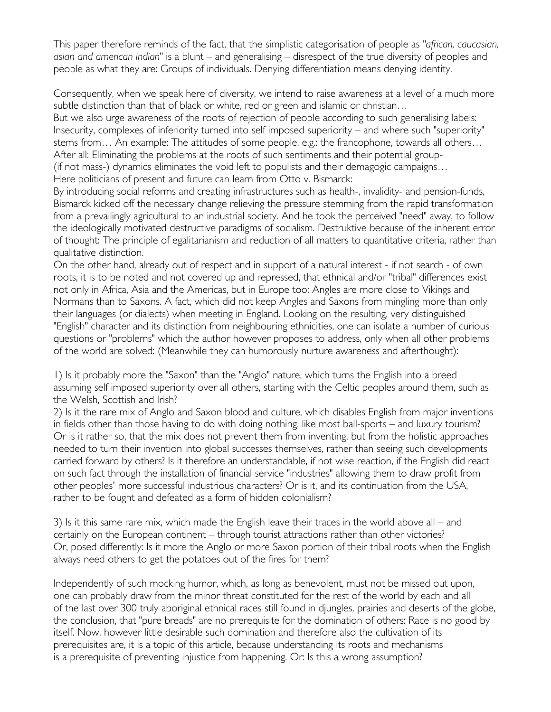This paper therefore reminds of the fact, that the simplistic categorisation of people as *"african, caucasian, asian and american indian"* is a blunt – and generalising – disrespect of the true diversity of peoples and people as what they are: Groups of individuals. Denying differentiation means denying identity.

Consequently, when we speak here of diversity, we intend to raise awareness at a level of a much more subtle distinction than that of black or white, red or green and islamic or christian…

But we also urge awareness of the roots of rejection of people according to such generalising labels: Insecurity, complexes of inferiority turned into self imposed superiority – and where such "superiority" stems from… An example: The attitudes of some people, e.g.: the francophone, towards all others… After all: Eliminating the problems at the roots of such sentiments and their potential group- (if not mass-) dynamics eliminates the void left to populists and their demagogic campaigns…

Here politicians of present and future can learn from Otto v. Bismarck:

By introducing social reforms and creating infrastructures such as health-, invalidity- and pension-funds, Bismarck kicked off the necessary change relieving the pressure stemming from the rapid transformation from a prevailingly agricultural to an industrial society. And he took the perceived "need" away, to follow the ideologically motivated destructive paradigms of socialism. Destruktive because of the inherent error of thought: The principle of egalitarianism and reduction of all matters to quantitative criteria, rather than qualitative distinction.

On the other hand, already out of respect and in support of a natural interest - if not search - of own roots, it is to be noted and not covered up and repressed, that ethnical and/or "tribal" differences exist not only in Africa, Asia and the Americas, but in Europe too: Angles are more close to Vikings and Normans than to Saxons. A fact, which did not keep Angles and Saxons from mingling more than only their languages (or dialects) when meeting in England. Looking on the resulting, very distinguished "English" character and its distinction from neighbouring ethnicities, one can isolate a number of curious questions or "problems" which the author however proposes to address, only when all other problems of the world are solved: (Meanwhile they can humorously nurture awareness and afterthought):

1) Is it probably more the "Saxon" than the "Anglo" nature, which turns the English into a breed assuming self imposed superiority over all others, starting with the Celtic peoples around them, such as the Welsh, Scottish and Irish?

2) Is it the rare mix of Anglo and Saxon blood and culture, which disables English from major inventions in fields other than those having to do with doing nothing, like most ball-sports – and luxury tourism? Or is it rather so, that the mix does not prevent them from inventing, but from the holistic approaches needed to turn their invention into global successes themselves, rather than seeing such developments carried forward by others? Is it therefore an understandable, if not wise reaction, if the English did react on such fact through the installation of financial service "industries" allowing them to draw profit from other peoples' more successful industrious characters? Or is it, and its continuation from the USA, rather to be fought and defeated as a form of hidden colonialism?

3) Is it this same rare mix, which made the English leave their traces in the world above all – and certainly on the European continent – through tourist attractions rather than other victories? Or, posed differently: Is it more the Anglo or more Saxon portion of their tribal roots when the English always need others to get the potatoes out of the fires for them?

Independently of such mocking humor, which, as long as benevolent, must not be missed out upon, one can probably draw from the minor threat constituted for the rest of the world by each and all of the last over 300 truly aboriginal ethnical races still found in djungles, prairies and deserts of the globe, the conclusion, that "pure breads" are no prerequisite for the domination of others: Race is no good by itself. Now, however little desirable such domination and therefore also the cultivation of its prerequisites are, it is a topic of this article, because understanding its roots and mechanisms is a prerequisite of preventing injustice from happening. Or: Is this a wrong assumption?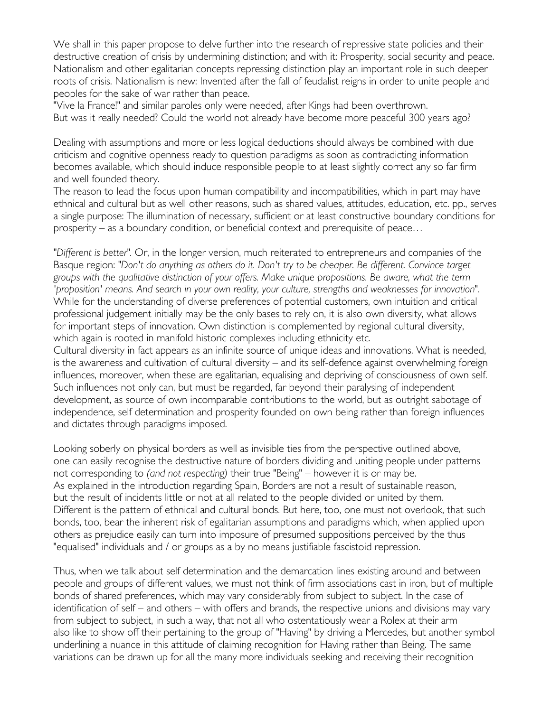We shall in this paper propose to delve further into the research of repressive state policies and their destructive creation of crisis by undermining distinction; and with it: Prosperity, social security and peace. Nationalism and other egalitarian concepts repressing distinction play an important role in such deeper roots of crisis. Nationalism is new: Invented after the fall of feudalist reigns in order to unite people and peoples for the sake of war rather than peace.

"Vive la France!" and similar paroles only were needed, after Kings had been overthrown. But was it really needed? Could the world not already have become more peaceful 300 years ago?

Dealing with assumptions and more or less logical deductions should always be combined with due criticism and cognitive openness ready to question paradigms as soon as contradicting information becomes available, which should induce responsible people to at least slightly correct any so far firm and well founded theory.

The reason to lead the focus upon human compatibility and incompatibilities, which in part may have ethnical and cultural but as well other reasons, such as shared values, attitudes, education, etc. pp., serves a single purpose: The illumination of necessary, sufficient or at least constructive boundary conditions for prosperity – as a boundary condition, or beneficial context and prerequisite of peace…

*"Different is better".* Or, in the longer version, much reiterated to entrepreneurs and companies of the Basque region: *"Don't do anything as others do it. Don't try to be cheaper. Be different. Convince target groups with the qualitative distinction of your offers. Make unique propositions. Be aware, what the term 'proposition' means. And search in your own reality, your culture, strengths and weaknesses for innovation*". While for the understanding of diverse preferences of potential customers, own intuition and critical professional judgement initially may be the only bases to rely on, it is also own diversity, what allows for important steps of innovation. Own distinction is complemented by regional cultural diversity, which again is rooted in manifold historic complexes including ethnicity etc.

Cultural diversity in fact appears as an infinite source of unique ideas and innovations. What is needed, is the awareness and cultivation of cultural diversity – and its self-defence against overwhelming foreign influences, moreover, when these are egalitarian, equalising and depriving of consciousness of own self. Such influences not only can, but must be regarded, far beyond their paralysing of independent development, as source of own incomparable contributions to the world, but as outright sabotage of independence, self determination and prosperity founded on own being rather than foreign influences and dictates through paradigms imposed.

Looking soberly on physical borders as well as invisible ties from the perspective outlined above, one can easily recognise the destructive nature of borders dividing and uniting people under patterns not corresponding to *(and not respecting)* their true "Being" – however it is or may be. As explained in the introduction regarding Spain, Borders are not a result of sustainable reason, but the result of incidents little or not at all related to the people divided or united by them. Different is the pattern of ethnical and cultural bonds. But here, too, one must not overlook, that such bonds, too, bear the inherent risk of egalitarian assumptions and paradigms which, when applied upon others as prejudice easily can turn into imposure of presumed suppositions perceived by the thus "equalised" individuals and / or groups as a by no means justifiable fascistoid repression.

Thus, when we talk about self determination and the demarcation lines existing around and between people and groups of different values, we must not think of firm associations cast in iron, but of multiple bonds of shared preferences, which may vary considerably from subject to subject. In the case of identification of self – and others – with offers and brands, the respective unions and divisions may vary from subject to subject, in such a way, that not all who ostentatiously wear a Rolex at their arm also like to show off their pertaining to the group of "Having" by driving a Mercedes, but another symbol underlining a nuance in this attitude of claiming recognition for Having rather than Being. The same variations can be drawn up for all the many more individuals seeking and receiving their recognition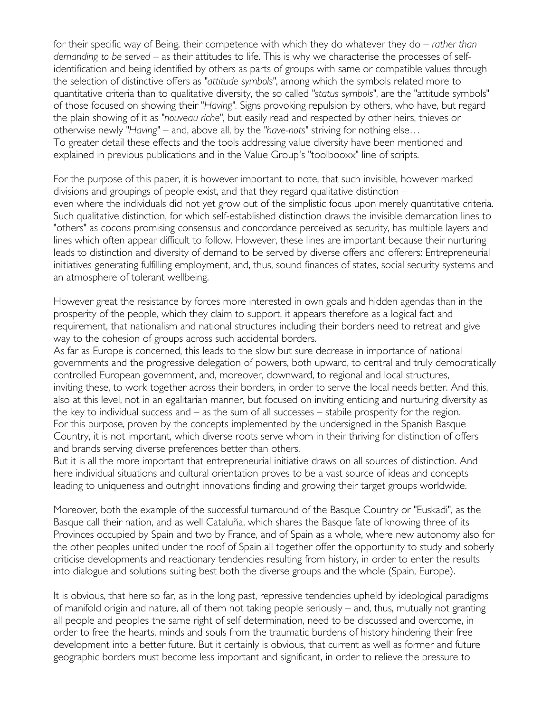for their specific way of Being, their competence with which they do whatever they do *– rather than demanding to be served –* as their attitudes to life. This is why we characterise the processes of selfidentification and being identified by others as parts of groups with same or compatible values through the selection of distinctive offers as *"attitude symbols"*, among which the symbols related more to quantitative criteria than to qualitative diversity, the so called *"status symbols"*, are the "attitude symbols" of those focused on showing their "*Having".* Signs provoking repulsion by others, who have, but regard the plain showing of it as *"nouveau riche"*, but easily read and respected by other heirs, thieves or otherwise newly *"Having"* – and, above all, by the *"have-nots"* striving for nothing else… To greater detail these effects and the tools addressing value diversity have been mentioned and explained in previous publications and in the Value Group's "toolbooxx" line of scripts.

For the purpose of this paper, it is however important to note, that such invisible, however marked divisions and groupings of people exist, and that they regard qualitative distinction – even where the individuals did not yet grow out of the simplistic focus upon merely quantitative criteria. Such qualitative distinction, for which self-established distinction draws the invisible demarcation lines to "others" as cocons promising consensus and concordance perceived as security, has multiple layers and lines which often appear difficult to follow. However, these lines are important because their nurturing leads to distinction and diversity of demand to be served by diverse offers and offerers: Entrepreneurial initiatives generating fulfilling employment, and, thus, sound finances of states, social security systems and an atmosphere of tolerant wellbeing.

However great the resistance by forces more interested in own goals and hidden agendas than in the prosperity of the people, which they claim to support, it appears therefore as a logical fact and requirement, that nationalism and national structures including their borders need to retreat and give way to the cohesion of groups across such accidental borders.

As far as Europe is concerned, this leads to the slow but sure decrease in importance of national governments and the progressive delegation of powers, both upward, to central and truly democratically controlled European government, and, moreover, downward, to regional and local structures, inviting these, to work together across their borders, in order to serve the local needs better. And this, also at this level, not in an egalitarian manner, but focused on inviting enticing and nurturing diversity as the key to individual success and – as the sum of all successes – stabile prosperity for the region. For this purpose, proven by the concepts implemented by the undersigned in the Spanish Basque Country, it is not important, which diverse roots serve whom in their thriving for distinction of offers and brands serving diverse preferences better than others.

But it is all the more important that entrepreneurial initiative draws on all sources of distinction. And here individual situations and cultural orientation proves to be a vast source of ideas and concepts leading to uniqueness and outright innovations finding and growing their target groups worldwide.

Moreover, both the example of the successful turnaround of the Basque Country or "Euskadi", as the Basque call their nation, and as well Cataluña, which shares the Basque fate of knowing three of its Provinces occupied by Spain and two by France, and of Spain as a whole, where new autonomy also for the other peoples united under the roof of Spain all together offer the opportunity to study and soberly criticise developments and reactionary tendencies resulting from history, in order to enter the results into dialogue and solutions suiting best both the diverse groups and the whole (Spain, Europe).

It is obvious, that here so far, as in the long past, repressive tendencies upheld by ideological paradigms of manifold origin and nature, all of them not taking people seriously – and, thus, mutually not granting all people and peoples the same right of self determination, need to be discussed and overcome, in order to free the hearts, minds and souls from the traumatic burdens of history hindering their free development into a better future. But it certainly is obvious, that current as well as former and future geographic borders must become less important and significant, in order to relieve the pressure to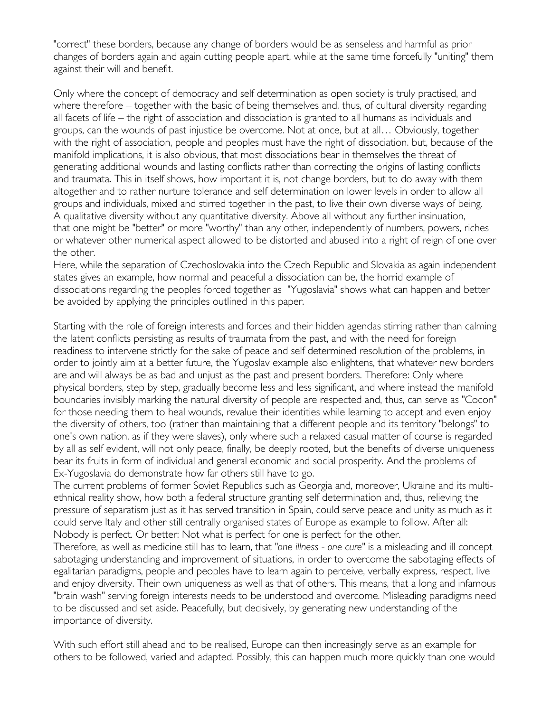"correct" these borders, because any change of borders would be as senseless and harmful as prior changes of borders again and again cutting people apart, while at the same time forcefully "uniting" them against their will and benefit.

Only where the concept of democracy and self determination as open society is truly practised, and where therefore – together with the basic of being themselves and, thus, of cultural diversity regarding all facets of life – the right of association and dissociation is granted to all humans as individuals and groups, can the wounds of past injustice be overcome. Not at once, but at all… Obviously, together with the right of association, people and peoples must have the right of dissociation. but, because of the manifold implications, it is also obvious, that most dissociations bear in themselves the threat of generating additional wounds and lasting conflicts rather than correcting the origins of lasting conflicts and traumata. This in itself shows, how important it is, not change borders, but to do away with them altogether and to rather nurture tolerance and self determination on lower levels in order to allow all groups and individuals, mixed and stirred together in the past, to live their own diverse ways of being. A qualitative diversity without any quantitative diversity. Above all without any further insinuation, that one might be "better" or more "worthy" than any other, independently of numbers, powers, riches or whatever other numerical aspect allowed to be distorted and abused into a right of reign of one over the other.

Here, while the separation of Czechoslovakia into the Czech Republic and Slovakia as again independent states gives an example, how normal and peaceful a dissociation can be, the horrid example of dissociations regarding the peoples forced together as "Yugoslavia" shows what can happen and better be avoided by applying the principles outlined in this paper.

Starting with the role of foreign interests and forces and their hidden agendas stirring rather than calming the latent conflicts persisting as results of traumata from the past, and with the need for foreign readiness to intervene strictly for the sake of peace and self determined resolution of the problems, in order to jointly aim at a better future, the Yugoslav example also enlightens, that whatever new borders are and will always be as bad and unjust as the past and present borders. Therefore: Only where physical borders, step by step, gradually become less and less significant, and where instead the manifold boundaries invisibly marking the natural diversity of people are respected and, thus, can serve as "Cocon" for those needing them to heal wounds, revalue their identities while learning to accept and even enjoy the diversity of others, too (rather than maintaining that a different people and its territory "belongs" to one's own nation, as if they were slaves), only where such a relaxed casual matter of course is regarded by all as self evident, will not only peace, finally, be deeply rooted, but the benefits of diverse uniqueness bear its fruits in form of individual and general economic and social prosperity. And the problems of Ex-Yugoslavia do demonstrate how far others still have to go.

The current problems of former Soviet Republics such as Georgia and, moreover, Ukraine and its multiethnical reality show, how both a federal structure granting self determination and, thus, relieving the pressure of separatism just as it has served transition in Spain, could serve peace and unity as much as it could serve Italy and other still centrally organised states of Europe as example to follow. After all: Nobody is perfect. Or better: Not what is perfect for one is perfect for the other.

Therefore, as well as medicine still has to learn, that *"one illness - one cure"* is a misleading and ill concept sabotaging understanding and improvement of situations, in order to overcome the sabotaging effects of egalitarian paradigms, people and peoples have to learn again to perceive, verbally express, respect, live and enjoy diversity. Their own uniqueness as well as that of others. This means, that a long and infamous "brain wash" serving foreign interests needs to be understood and overcome. Misleading paradigms need to be discussed and set aside. Peacefully, but decisively, by generating new understanding of the importance of diversity.

With such effort still ahead and to be realised, Europe can then increasingly serve as an example for others to be followed, varied and adapted. Possibly, this can happen much more quickly than one would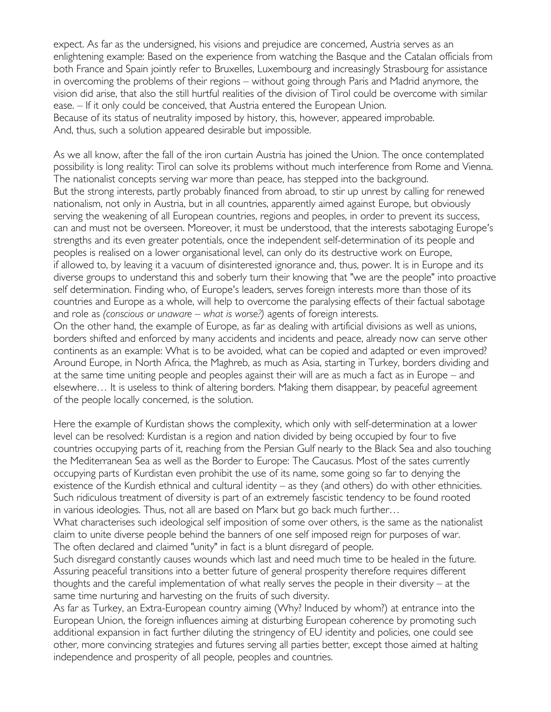expect. As far as the undersigned, his visions and prejudice are concerned, Austria serves as an enlightening example: Based on the experience from watching the Basque and the Catalan officials from both France and Spain jointly refer to Bruxelles, Luxembourg and increasingly Strasbourg for assistance in overcoming the problems of their regions – without going through Paris and Madrid anymore, the vision did arise, that also the still hurtful realities of the division of Tirol could be overcome with similar ease. – If it only could be conceived, that Austria entered the European Union. Because of its status of neutrality imposed by history, this, however, appeared improbable. And, thus, such a solution appeared desirable but impossible.

As we all know, after the fall of the iron curtain Austria has joined the Union. The once contemplated possibility is long reality: Tirol can solve its problems without much interference from Rome and Vienna. The nationalist concepts serving war more than peace, has stepped into the background. But the strong interests, partly probably financed from abroad, to stir up unrest by calling for renewed nationalism, not only in Austria, but in all countries, apparently aimed against Europe, but obviously serving the weakening of all European countries, regions and peoples, in order to prevent its success, can and must not be overseen. Moreover, it must be understood, that the interests sabotaging Europe's strengths and its even greater potentials, once the independent self-determination of its people and peoples is realised on a lower organisational level, can only do its destructive work on Europe, if allowed to, by leaving it a vacuum of disinterested ignorance and, thus, power. It is in Europe and its diverse groups to understand this and soberly turn their knowing that "we are the people" into proactive self determination. Finding who, of Europe's leaders, serves foreign interests more than those of its countries and Europe as a whole, will help to overcome the paralysing effects of their factual sabotage and role as *(conscious or unaware – what is worse?)* agents of foreign interests.

On the other hand, the example of Europe, as far as dealing with artificial divisions as well as unions, borders shifted and enforced by many accidents and incidents and peace, already now can serve other continents as an example: What is to be avoided, what can be copied and adapted or even improved? Around Europe, in North Africa, the Maghreb, as much as Asia, starting in Turkey, borders dividing and at the same time uniting people and peoples against their will are as much a fact as in Europe – and elsewhere… It is useless to think of altering borders. Making them disappear, by peaceful agreement of the people locally concerned, is the solution.

Here the example of Kurdistan shows the complexity, which only with self-determination at a lower level can be resolved: Kurdistan is a region and nation divided by being occupied by four to five countries occupying parts of it, reaching from the Persian Gulf nearly to the Black Sea and also touching the Mediterranean Sea as well as the Border to Europe: The Caucasus. Most of the sates currently occupying parts of Kurdistan even prohibit the use of its name, some going so far to denying the existence of the Kurdish ethnical and cultural identity – as they (and others) do with other ethnicities. Such ridiculous treatment of diversity is part of an extremely fascistic tendency to be found rooted in various ideologies. Thus, not all are based on Marx but go back much further…

What characterises such ideological self imposition of some over others, is the same as the nationalist claim to unite diverse people behind the banners of one self imposed reign for purposes of war. The often declared and claimed "unity" in fact is a blunt disregard of people.

Such disregard constantly causes wounds which last and need much time to be healed in the future. Assuring peaceful transitions into a better future of general prosperity therefore requires different thoughts and the careful implementation of what really serves the people in their diversity – at the same time nurturing and harvesting on the fruits of such diversity.

As far as Turkey, an Extra-European country aiming (Why? Induced by whom?) at entrance into the European Union, the foreign influences aiming at disturbing European coherence by promoting such additional expansion in fact further diluting the stringency of EU identity and policies, one could see other, more convincing strategies and futures serving all parties better, except those aimed at halting independence and prosperity of all people, peoples and countries.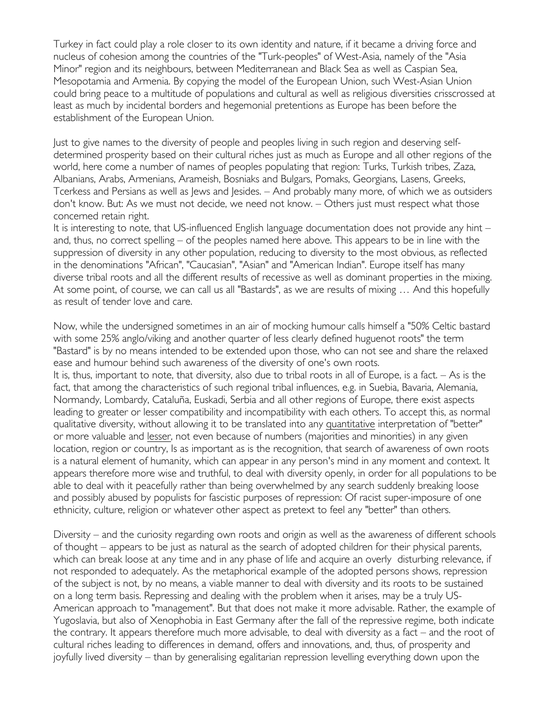Turkey in fact could play a role closer to its own identity and nature, if it became a driving force and nucleus of cohesion among the countries of the "Turk-peoples" of West-Asia, namely of the "Asia Minor" region and its neighbours, between Mediterranean and Black Sea as well as Caspian Sea, Mesopotamia and Armenia. By copying the model of the European Union, such West-Asian Union could bring peace to a multitude of populations and cultural as well as religious diversities crisscrossed at least as much by incidental borders and hegemonial pretentions as Europe has been before the establishment of the European Union.

Just to give names to the diversity of people and peoples living in such region and deserving selfdetermined prosperity based on their cultural riches just as much as Europe and all other regions of the world, here come a number of names of peoples populating that region: Turks, Turkish tribes, Zaza, Albanians, Arabs, Armenians, Arameish, Bosniaks and Bulgars, Pomaks, Georgians, Lasens, Greeks, Tcerkess and Persians as well as Jews and Jesides. – And probably many more, of which we as outsiders don't know. But: As we must not decide, we need not know. – Others just must respect what those concerned retain right.

It is interesting to note, that US-influenced English language documentation does not provide any hint – and, thus, no correct spelling – of the peoples named here above. This appears to be in line with the suppression of diversity in any other population, reducing to diversity to the most obvious, as reflected in the denominations "African", "Caucasian", "Asian" and "American Indian". Europe itself has many diverse tribal roots and all the different results of recessive as well as dominant properties in the mixing. At some point, of course, we can call us all "Bastards", as we are results of mixing … And this hopefully as result of tender love and care.

Now, while the undersigned sometimes in an air of mocking humour calls himself a "50% Celtic bastard with some 25% anglo/viking and another quarter of less clearly defined huguenot roots" the term "Bastard" is by no means intended to be extended upon those, who can not see and share the relaxed ease and humour behind such awareness of the diversity of one's own roots.

It is, thus, important to note, that diversity, also due to tribal roots in all of Europe, is a fact. – As is the fact, that among the characteristics of such regional tribal influences, e.g. in Suebia, Bavaria, Alemania, Normandy, Lombardy, Cataluña, Euskadi, Serbia and all other regions of Europe, there exist aspects leading to greater or lesser compatibility and incompatibility with each others. To accept this, as normal qualitative diversity, without allowing it to be translated into any quantitative interpretation of "better" or more valuable and lesser, not even because of numbers (majorities and minorities) in any given location, region or country, Is as important as is the recognition, that search of awareness of own roots is a natural element of humanity, which can appear in any person's mind in any moment and context. It appears therefore more wise and truthful, to deal with diversity openly, in order for all populations to be able to deal with it peacefully rather than being overwhelmed by any search suddenly breaking loose and possibly abused by populists for fascistic purposes of repression: Of racist super-imposure of one ethnicity, culture, religion or whatever other aspect as pretext to feel any "better" than others.

Diversity – and the curiosity regarding own roots and origin as well as the awareness of different schools of thought – appears to be just as natural as the search of adopted children for their physical parents, which can break loose at any time and in any phase of life and acquire an overly disturbing relevance, if not responded to adequately. As the metaphorical example of the adopted persons shows, repression of the subject is not, by no means, a viable manner to deal with diversity and its roots to be sustained on a long term basis. Repressing and dealing with the problem when it arises, may be a truly US-American approach to "management". But that does not make it more advisable. Rather, the example of Yugoslavia, but also of Xenophobia in East Germany after the fall of the repressive regime, both indicate the contrary. It appears therefore much more advisable, to deal with diversity as a fact – and the root of cultural riches leading to differences in demand, offers and innovations, and, thus, of prosperity and joyfully lived diversity – than by generalising egalitarian repression levelling everything down upon the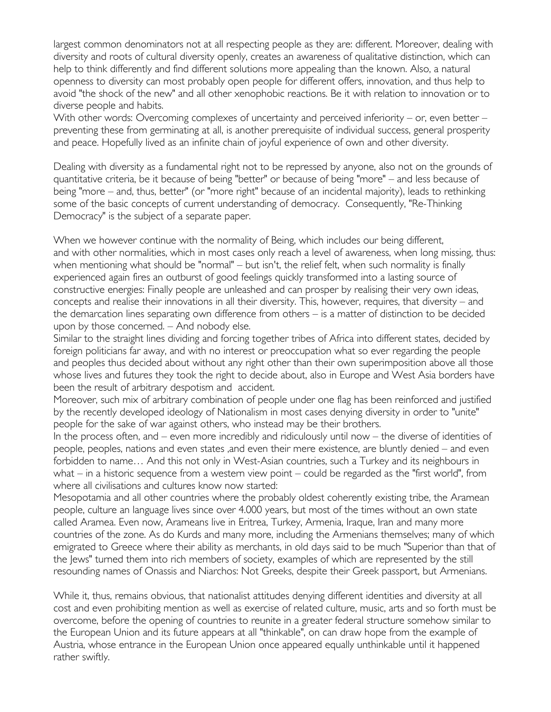largest common denominators not at all respecting people as they are: different. Moreover, dealing with diversity and roots of cultural diversity openly, creates an awareness of qualitative distinction, which can help to think differently and find different solutions more appealing than the known. Also, a natural openness to diversity can most probably open people for different offers, innovation, and thus help to avoid "the shock of the new" and all other xenophobic reactions. Be it with relation to innovation or to diverse people and habits.

With other words: Overcoming complexes of uncertainty and perceived inferiority – or, even better – preventing these from germinating at all, is another prerequisite of individual success, general prosperity and peace. Hopefully lived as an infinite chain of joyful experience of own and other diversity.

Dealing with diversity as a fundamental right not to be repressed by anyone, also not on the grounds of quantitative criteria, be it because of being "better" or because of being "more" – and less because of being "more – and, thus, better" (or "more right" because of an incidental majority), leads to rethinking some of the basic concepts of current understanding of democracy. Consequently, "Re-Thinking Democracy" is the subject of a separate paper.

When we however continue with the normality of Being, which includes our being different, and with other normalities, which in most cases only reach a level of awareness, when long missing, thus: when mentioning what should be "normal" – but isn't, the relief felt, when such normality is finally experienced again fires an outburst of good feelings quickly transformed into a lasting source of constructive energies: Finally people are unleashed and can prosper by realising their very own ideas, concepts and realise their innovations in all their diversity. This, however, requires, that diversity – and the demarcation lines separating own difference from others – is a matter of distinction to be decided upon by those concerned. – And nobody else.

Similar to the straight lines dividing and forcing together tribes of Africa into different states, decided by foreign politicians far away, and with no interest or preoccupation what so ever regarding the people and peoples thus decided about without any right other than their own superimposition above all those whose lives and futures they took the right to decide about, also in Europe and West Asia borders have been the result of arbitrary despotism and accident.

Moreover, such mix of arbitrary combination of people under one flag has been reinforced and justified by the recently developed ideology of Nationalism in most cases denying diversity in order to "unite" people for the sake of war against others, who instead may be their brothers.

In the process often, and – even more incredibly and ridiculously until now – the diverse of identities of people, peoples, nations and even states ,and even their mere existence, are bluntly denied – and even forbidden to name… And this not only in West-Asian countries, such a Turkey and its neighbours in what – in a historic sequence from a western view point – could be regarded as the "first world", from where all civilisations and cultures know now started:

Mesopotamia and all other countries where the probably oldest coherently existing tribe, the Aramean people, culture an language lives since over 4.000 years, but most of the times without an own state called Aramea. Even now, Arameans live in Eritrea, Turkey, Armenia, Iraque, Iran and many more countries of the zone. As do Kurds and many more, including the Armenians themselves; many of which emigrated to Greece where their ability as merchants, in old days said to be much "Superior than that of the Jews" turned them into rich members of society, examples of which are represented by the still resounding names of Onassis and Niarchos: Not Greeks, despite their Greek passport, but Armenians.

While it, thus, remains obvious, that nationalist attitudes denying different identities and diversity at all cost and even prohibiting mention as well as exercise of related culture, music, arts and so forth must be overcome, before the opening of countries to reunite in a greater federal structure somehow similar to the European Union and its future appears at all "thinkable", on can draw hope from the example of Austria, whose entrance in the European Union once appeared equally unthinkable until it happened rather swiftly.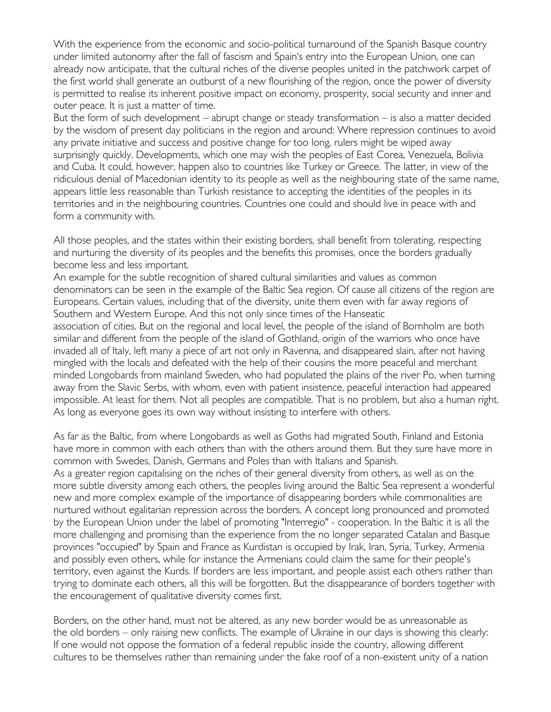With the experience from the economic and socio-political turnaround of the Spanish Basque country under limited autonomy after the fall of fascism and Spain's entry into the European Union, one can already now anticipate, that the cultural riches of the diverse peoples united in the patchwork carpet of the first world shall generate an outburst of a new flourishing of the region, once the power of diversity is permitted to realise its inherent positive impact on economy, prosperity, social security and inner and outer peace. It is just a matter of time.

But the form of such development – abrupt change or steady transformation – is also a matter decided by the wisdom of present day politicians in the region and around: Where repression continues to avoid any private initiative and success and positive change for too long, rulers might be wiped away surprisingly quickly. Developments, which one may wish the peoples of East Corea, Venezuela, Bolivia and Cuba. It could, however, happen also to countries like Turkey or Greece. The latter, in view of the ridiculous denial of Macedonian identity to its people as well as the neighbouring state of the same name, appears little less reasonable than Turkish resistance to accepting the identities of the peoples in its territories and in the neighbouring countries. Countries one could and should live in peace with and form a community with.

All those peoples, and the states within their existing borders, shall benefit from tolerating, respecting and nurturing the diversity of its peoples and the benefits this promises, once the borders gradually become less and less important.

An example for the subtle recognition of shared cultural similarities and values as common denominators can be seen in the example of the Baltic Sea region. Of cause all citizens of the region are Europeans. Certain values, including that of the diversity, unite them even with far away regions of Southern and Western Europe. And this not only since times of the Hanseatic

association of cities. But on the regional and local level, the people of the island of Bornholm are both similar and different from the people of the island of Gothland, origin of the warriors who once have invaded all of Italy, left many a piece of art not only in Ravenna, and disappeared slain, after not having mingled with the locals and defeated with the help of their cousins the more peaceful and merchant minded Longobards from mainland Sweden, who had populated the plains of the river Po, when turning away from the Slavic Serbs, with whom, even with patient insistence, peaceful interaction had appeared impossible. At least for them. Not all peoples are compatible. That is no problem, but also a human right. As long as everyone goes its own way without insisting to interfere with others.

As far as the Baltic, from where Longobards as well as Goths had migrated South, Finland and Estonia have more in common with each others than with the others around them. But they sure have more in common with Swedes, Danish, Germans and Poles than with Italians and Spanish.

As a greater region capitalising on the riches of their general diversity from others, as well as on the more subtle diversity among each others, the peoples living around the Baltic Sea represent a wonderful new and more complex example of the importance of disappearing borders while commonalities are nurtured without egalitarian repression across the borders. A concept long pronounced and promoted by the European Union under the label of promoting "Interregio" - cooperation. In the Baltic it is all the more challenging and promising than the experience from the no longer separated Catalan and Basque provinces "occupied" by Spain and France as Kurdistan is occupied by Irak, Iran, Syria, Turkey, Armenia and possibly even others, while for instance the Armenians could claim the same for their people's territory, even against the Kurds. If borders are less important, and people assist each others rather than trying to dominate each others, all this will be forgotten. But the disappearance of borders together with the encouragement of qualitative diversity comes first.

Borders, on the other hand, must not be altered, as any new border would be as unreasonable as the old borders – only raising new conflicts. The example of Ukraine in our days is showing this clearly: If one would not oppose the formation of a federal republic inside the country, allowing different cultures to be themselves rather than remaining under the fake roof of a non-existent unity of a nation